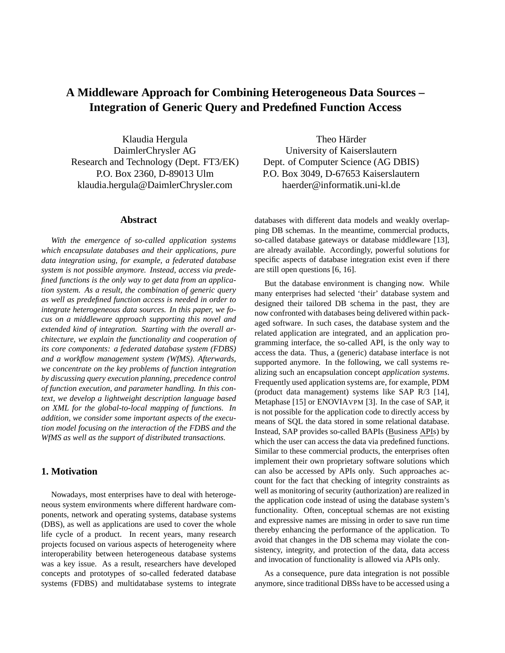# **A Middleware Approach for Combining Heterogeneous Data Sources – Integration of Generic Query and Predefined Function Access**

Klaudia Hergula DaimlerChrysler AG Research and Technology (Dept. FT3/EK) P.O. Box 2360, D-89013 Ulm klaudia.hergula@DaimlerChrysler.com

#### **Abstract**

*With the emergence of so-called application systems which encapsulate databases and their applications, pure data integration using, for example, a federated database system is not possible anymore. Instead, access via predefined functions is the only way to get data from an application system. As a result, the combination of generic query as well as predefined function access is needed in order to integrate heterogeneous data sources. In this paper, we focus on a middleware approach supporting this novel and extended kind of integration. Starting with the overall architecture, we explain the functionality and cooperation of its core components: a federated database system (FDBS) and a workflow management system (WfMS). Afterwards, we concentrate on the key problems of function integration by discussing query execution planning, precedence control of function execution, and parameter handling. In this context, we develop a lightweight description language based on XML for the global-to-local mapping of functions. In addition, we consider some important aspects of the execution model focusing on the interaction of the FDBS and the WfMS as well as the support of distributed transactions.*

# **1. Motivation**

Nowadays, most enterprises have to deal with heterogeneous system environments where different hardware components, network and operating systems, database systems (DBS), as well as applications are used to cover the whole life cycle of a product. In recent years, many research projects focused on various aspects of heterogeneity where interoperability between heterogeneous database systems was a key issue. As a result, researchers have developed concepts and prototypes of so-called federated database systems (FDBS) and multidatabase systems to integrate

Theo Härder University of Kaiserslautern Dept. of Computer Science (AG DBIS) P.O. Box 3049, D-67653 Kaiserslautern haerder@informatik.uni-kl.de

databases with different data models and weakly overlapping DB schemas. In the meantime, commercial products, so-called database gateways or database middleware [13], are already available. Accordingly, powerful solutions for specific aspects of database integration exist even if there are still open questions [6, 16].

But the database environment is changing now. While many enterprises had selected 'their' database system and designed their tailored DB schema in the past, they are now confronted with databases being delivered within packaged software. In such cases, the database system and the related application are integrated, and an application programming interface, the so-called API, is the only way to access the data. Thus, a (generic) database interface is not supported anymore. In the following, we call systems realizing such an encapsulation concept *application systems*. Frequently used application systems are, for example, PDM (product data management) systems like SAP R/3 [14], Metaphase [15] or ENOVIAVPM [3]. In the case of SAP, it is not possible for the application code to directly access by means of SQL the data stored in some relational database. Instead, SAP provides so-called BAPIs (Business APIs) by which the user can access the data via predefined functions. Similar to these commercial products, the enterprises often implement their own proprietary software solutions which can also be accessed by APIs only. Such approaches account for the fact that checking of integrity constraints as well as monitoring of security (authorization) are realized in the application code instead of using the database system's functionality. Often, conceptual schemas are not existing and expressive names are missing in order to save run time thereby enhancing the performance of the application. To avoid that changes in the DB schema may violate the consistency, integrity, and protection of the data, data access and invocation of functionality is allowed via APIs only.

As a consequence, pure data integration is not possible anymore, since traditional DBSs have to be accessed using a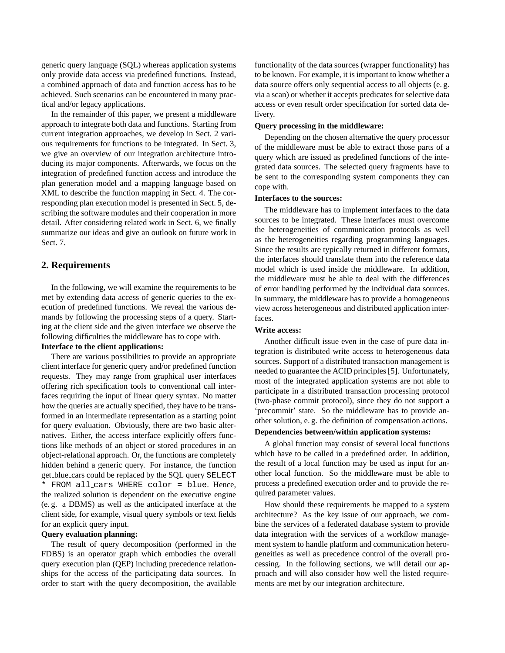generic query language (SQL) whereas application systems only provide data access via predefined functions. Instead, a combined approach of data and function access has to be achieved. Such scenarios can be encountered in many practical and/or legacy applications.

In the remainder of this paper, we present a middleware approach to integrate both data and functions. Starting from current integration approaches, we develop in Sect. 2 various requirements for functions to be integrated. In Sect. 3, we give an overview of our integration architecture introducing its major components. Afterwards, we focus on the integration of predefined function access and introduce the plan generation model and a mapping language based on XML to describe the function mapping in Sect. 4. The corresponding plan execution model is presented in Sect. 5, describing the software modules and their cooperation in more detail. After considering related work in Sect. 6, we finally summarize our ideas and give an outlook on future work in Sect. 7.

### **2. Requirements**

In the following, we will examine the requirements to be met by extending data access of generic queries to the execution of predefined functions. We reveal the various demands by following the processing steps of a query. Starting at the client side and the given interface we observe the following difficulties the middleware has to cope with.

### **Interface to the client applications:**

There are various possibilities to provide an appropriate client interface for generic query and/or predefined function requests. They may range from graphical user interfaces offering rich specification tools to conventional call interfaces requiring the input of linear query syntax. No matter how the queries are actually specified, they have to be transformed in an intermediate representation as a starting point for query evaluation. Obviously, there are two basic alternatives. Either, the access interface explicitly offers functions like methods of an object or stored procedures in an object-relational approach. Or, the functions are completely hidden behind a generic query. For instance, the function get blue cars could be replaced by the SQL query SELECT \* FROM all cars WHERE color = blue. Hence, the realized solution is dependent on the executive engine (e. g. a DBMS) as well as the anticipated interface at the client side, for example, visual query symbols or text fields for an explicit query input.

#### **Query evaluation planning:**

The result of query decomposition (performed in the FDBS) is an operator graph which embodies the overall query execution plan (QEP) including precedence relationships for the access of the participating data sources. In order to start with the query decomposition, the available functionality of the data sources (wrapper functionality) has to be known. For example, it is important to know whether a data source offers only sequential access to all objects (e. g. via a scan) or whether it accepts predicates for selective data access or even result order specification for sorted data delivery.

#### **Query processing in the middleware:**

Depending on the chosen alternative the query processor of the middleware must be able to extract those parts of a query which are issued as predefined functions of the integrated data sources. The selected query fragments have to be sent to the corresponding system components they can cope with.

#### **Interfaces to the sources:**

The middleware has to implement interfaces to the data sources to be integrated. These interfaces must overcome the heterogeneities of communication protocols as well as the heterogeneities regarding programming languages. Since the results are typically returned in different formats, the interfaces should translate them into the reference data model which is used inside the middleware. In addition, the middleware must be able to deal with the differences of error handling performed by the individual data sources. In summary, the middleware has to provide a homogeneous view across heterogeneous and distributed application interfaces.

#### **Write access:**

Another difficult issue even in the case of pure data integration is distributed write access to heterogeneous data sources. Support of a distributed transaction management is needed to guarantee the ACID principles [5]. Unfortunately, most of the integrated application systems are not able to participate in a distributed transaction processing protocol (two-phase commit protocol), since they do not support a 'precommit' state. So the middleware has to provide another solution, e. g. the definition of compensation actions.

### **Dependencies between/within application systems:**

A global function may consist of several local functions which have to be called in a predefined order. In addition, the result of a local function may be used as input for another local function. So the middleware must be able to process a predefined execution order and to provide the required parameter values.

How should these requirements be mapped to a system architecture? As the key issue of our approach, we combine the services of a federated database system to provide data integration with the services of a workflow management system to handle platform and communication heterogeneities as well as precedence control of the overall processing. In the following sections, we will detail our approach and will also consider how well the listed requirements are met by our integration architecture.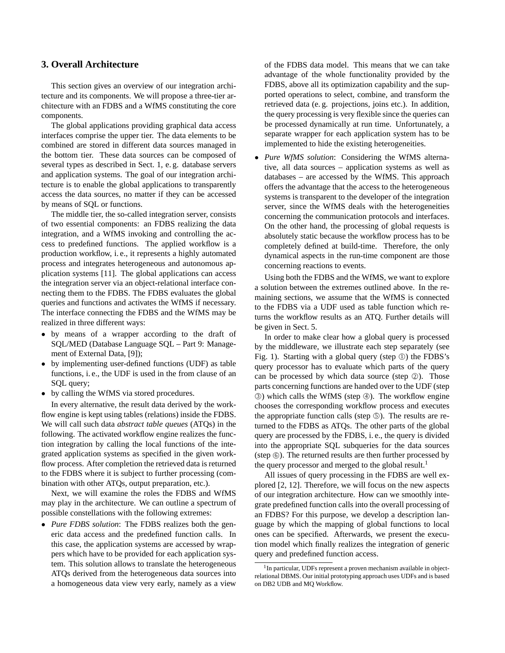## **3. Overall Architecture**

This section gives an overview of our integration architecture and its components. We will propose a three-tier architecture with an FDBS and a WfMS constituting the core components.

The global applications providing graphical data access interfaces comprise the upper tier. The data elements to be combined are stored in different data sources managed in the bottom tier. These data sources can be composed of several types as described in Sect. 1, e. g. database servers and application systems. The goal of our integration architecture is to enable the global applications to transparently access the data sources, no matter if they can be accessed by means of SQL or functions.

The middle tier, the so-called integration server, consists of two essential components: an FDBS realizing the data integration, and a WfMS invoking and controlling the access to predefined functions. The applied workflow is a production workflow, i. e., it represents a highly automated process and integrates heterogeneous and autonomous application systems [11]. The global applications can access the integration server via an object-relational interface connecting them to the FDBS. The FDBS evaluates the global queries and functions and activates the WfMS if necessary. The interface connecting the FDBS and the WfMS may be realized in three different ways:

- by means of a wrapper according to the draft of SQL/MED (Database Language SQL – Part 9: Management of External Data, [9]);
- by implementing user-defined functions (UDF) as table functions, i. e., the UDF is used in the from clause of an SQL query;
- by calling the WfMS via stored procedures.

In every alternative, the result data derived by the workflow engine is kept using tables (relations) inside the FDBS. We will call such data *abstract table queues* (ATQs) in the following. The activated workflow engine realizes the function integration by calling the local functions of the integrated application systems as specified in the given workflow process. After completion the retrieved data is returned to the FDBS where it is subject to further processing (combination with other ATQs, output preparation, etc.).

Next, we will examine the roles the FDBS and WfMS may play in the architecture. We can outline a spectrum of possible constellations with the following extremes:

• *Pure FDBS solution*: The FDBS realizes both the generic data access and the predefined function calls. In this case, the application systems are accessed by wrappers which have to be provided for each application system. This solution allows to translate the heterogeneous ATQs derived from the heterogeneous data sources into a homogeneous data view very early, namely as a view

of the FDBS data model. This means that we can take advantage of the whole functionality provided by the FDBS, above all its optimization capability and the supported operations to select, combine, and transform the retrieved data (e. g. projections, joins etc.). In addition, the query processing is very flexible since the queries can be processed dynamically at run time. Unfortunately, a separate wrapper for each application system has to be implemented to hide the existing heterogeneities.

• *Pure WfMS solution*: Considering the WfMS alternative, all data sources – application systems as well as databases – are accessed by the WfMS. This approach offers the advantage that the access to the heterogeneous systems is transparent to the developer of the integration server, since the WfMS deals with the heterogeneities concerning the communication protocols and interfaces. On the other hand, the processing of global requests is absolutely static because the workflow process has to be completely defined at build-time. Therefore, the only dynamical aspects in the run-time component are those concerning reactions to events.

Using both the FDBS and the WfMS, we want to explore a solution between the extremes outlined above. In the remaining sections, we assume that the WfMS is connected to the FDBS via a UDF used as table function which returns the workflow results as an ATQ. Further details will be given in Sect. 5.

In order to make clear how a global query is processed by the middleware, we illustrate each step separately (see Fig. 1). Starting with a global query (step  $\circled{1}$ ) the FDBS's query processor has to evaluate which parts of the query can be processed by which data source (step  $\circled{2}$ ). Those parts concerning functions are handed over to the UDF (step  $\circled{3}$ ) which calls the WfMS (step  $\circled{4}$ ). The workflow engine chooses the corresponding workflow process and executes the appropriate function calls (step  $\circledS$ ). The results are returned to the FDBS as ATQs. The other parts of the global query are processed by the FDBS, i. e., the query is divided into the appropriate SQL subqueries for the data sources (step  $\circledcirc$ ). The returned results are then further processed by the query processor and merged to the global result.<sup>1</sup>

All issues of query processing in the FDBS are well explored [2, 12]. Therefore, we will focus on the new aspects of our integration architecture. How can we smoothly integrate predefined function calls into the overall processing of an FDBS? For this purpose, we develop a description language by which the mapping of global functions to local ones can be specified. Afterwards, we present the execution model which finally realizes the integration of generic query and predefined function access.

<sup>&</sup>lt;sup>1</sup>In particular, UDFs represent a proven mechanism available in objectrelational DBMS. Our initial prototyping approach uses UDFs and is based on DB2 UDB and MQ Workflow.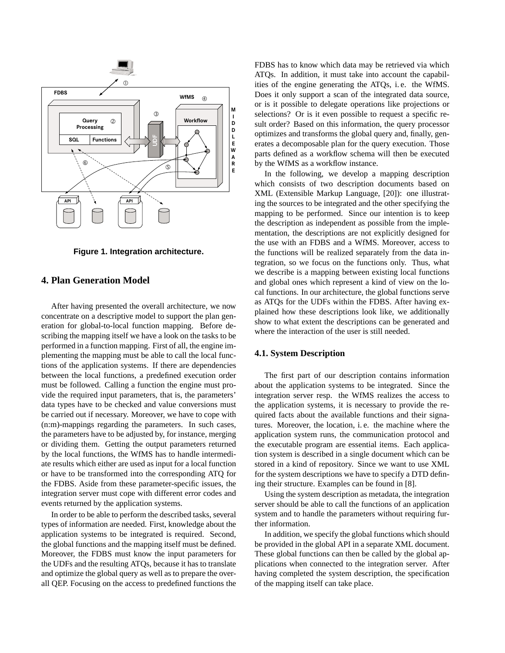

**Figure 1. Integration architecture.**

### **4. Plan Generation Model**

After having presented the overall architecture, we now concentrate on a descriptive model to support the plan generation for global-to-local function mapping. Before describing the mapping itself we have a look on the tasks to be performed in a function mapping. First of all, the engine implementing the mapping must be able to call the local functions of the application systems. If there are dependencies between the local functions, a predefined execution order must be followed. Calling a function the engine must provide the required input parameters, that is, the parameters' data types have to be checked and value conversions must be carried out if necessary. Moreover, we have to cope with (n:m)-mappings regarding the parameters. In such cases, the parameters have to be adjusted by, for instance, merging or dividing them. Getting the output parameters returned by the local functions, the WfMS has to handle intermediate results which either are used as input for a local function or have to be transformed into the corresponding ATQ for the FDBS. Aside from these parameter-specific issues, the integration server must cope with different error codes and events returned by the application systems.

In order to be able to perform the described tasks, several types of information are needed. First, knowledge about the application systems to be integrated is required. Second, the global functions and the mapping itself must be defined. Moreover, the FDBS must know the input parameters for the UDFs and the resulting ATQs, because it has to translate and optimize the global query as well as to prepare the overall QEP. Focusing on the access to predefined functions the FDBS has to know which data may be retrieved via which ATQs. In addition, it must take into account the capabilities of the engine generating the ATQs, i. e. the WfMS. Does it only support a scan of the integrated data source, or is it possible to delegate operations like projections or selections? Or is it even possible to request a specific result order? Based on this information, the query processor optimizes and transforms the global query and, finally, generates a decomposable plan for the query execution. Those parts defined as a workflow schema will then be executed by the WfMS as a workflow instance.

In the following, we develop a mapping description which consists of two description documents based on XML (Extensible Markup Language, [20]): one illustrating the sources to be integrated and the other specifying the mapping to be performed. Since our intention is to keep the description as independent as possible from the implementation, the descriptions are not explicitly designed for the use with an FDBS and a WfMS. Moreover, access to the functions will be realized separately from the data integration, so we focus on the functions only. Thus, what we describe is a mapping between existing local functions and global ones which represent a kind of view on the local functions. In our architecture, the global functions serve as ATQs for the UDFs within the FDBS. After having explained how these descriptions look like, we additionally show to what extent the descriptions can be generated and where the interaction of the user is still needed.

### **4.1. System Description**

The first part of our description contains information about the application systems to be integrated. Since the integration server resp. the WfMS realizes the access to the application systems, it is necessary to provide the required facts about the available functions and their signatures. Moreover, the location, i. e. the machine where the application system runs, the communication protocol and the executable program are essential items. Each application system is described in a single document which can be stored in a kind of repository. Since we want to use XML for the system descriptions we have to specify a DTD defining their structure. Examples can be found in [8].

Using the system description as metadata, the integration server should be able to call the functions of an application system and to handle the parameters without requiring further information.

In addition, we specify the global functions which should be provided in the global API in a separate XML document. These global functions can then be called by the global applications when connected to the integration server. After having completed the system description, the specification of the mapping itself can take place.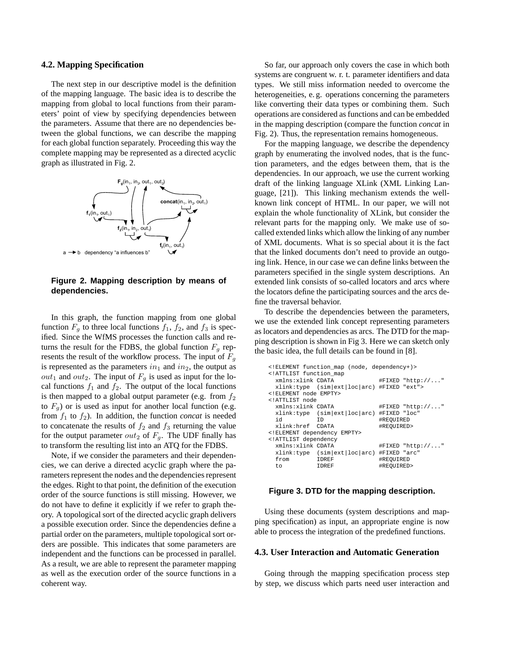#### **4.2. Mapping Specification**

The next step in our descriptive model is the definition of the mapping language. The basic idea is to describe the mapping from global to local functions from their parameters' point of view by specifying dependencies between the parameters. Assume that there are no dependencies between the global functions, we can describe the mapping for each global function separately. Proceeding this way the complete mapping may be represented as a directed acyclic graph as illustrated in Fig. 2.



**Figure 2. Mapping description by means of dependencies.**

In this graph, the function mapping from one global function  $F_q$  to three local functions  $f_1$ ,  $f_2$ , and  $f_3$  is specified. Since the WfMS processes the function calls and returns the result for the FDBS, the global function  $F_q$  represents the result of the workflow process. The input of  $F_q$ is represented as the parameters  $in_1$  and  $in_2$ , the output as *out*<sub>1</sub> and *out*<sub>2</sub>. The input of  $F<sub>q</sub>$  is used as input for the local functions  $f_1$  and  $f_2$ . The output of the local functions is then mapped to a global output parameter (e.g. from  $f_2$ ) to  $F_q$ ) or is used as input for another local function (e.g. from  $f_1$  to  $f_2$ ). In addition, the function *concat* is needed to concatenate the results of  $f_2$  and  $f_3$  returning the value for the output parameter  $out_2$  of  $F_q$ . The UDF finally has to transform the resulting list into an ATQ for the FDBS.

Note, if we consider the parameters and their dependencies, we can derive a directed acyclic graph where the parameters represent the nodes and the dependencies represent the edges. Right to that point, the definition of the execution order of the source functions is still missing. However, we do not have to define it explicitly if we refer to graph theory. A topological sort of the directed acyclic graph delivers a possible execution order. Since the dependencies define a partial order on the parameters, multiple topological sort orders are possible. This indicates that some parameters are independent and the functions can be processed in parallel. As a result, we are able to represent the parameter mapping as well as the execution order of the source functions in a coherent way.

So far, our approach only covers the case in which both systems are congruent w. r. t. parameter identifiers and data types. We still miss information needed to overcome the heterogeneities, e. g. operations concerning the parameters like converting their data types or combining them. Such operations are considered as functions and can be embedded in the mapping description (compare the function *concat* in Fig. 2). Thus, the representation remains homogeneous.

For the mapping language, we describe the dependency graph by enumerating the involved nodes, that is the function parameters, and the edges between them, that is the dependencies. In our approach, we use the current working draft of the linking language XLink (XML Linking Language, [21]). This linking mechanism extends the wellknown link concept of HTML. In our paper, we will not explain the whole functionality of XLink, but consider the relevant parts for the mapping only. We make use of socalled extended links which allow the linking of any number of XML documents. What is so special about it is the fact that the linked documents don't need to provide an outgoing link. Hence, in our case we can define links between the parameters specified in the single system descriptions. An extended link consists of so-called locators and arcs where the locators define the participating sources and the arcs define the traversal behavior.

To describe the dependencies between the parameters, we use the extended link concept representing parameters as locators and dependencies as arcs. The DTD for the mapping description is shown in Fig 3. Here we can sketch only the basic idea, the full details can be found in [8].

| ELEMENT function map (node, dependency+)   |                                           |            |                      |
|--------------------------------------------|-------------------------------------------|------------|----------------------|
| ATTLIST function map</td                   |                                           |            |                      |
| xmlns:xlink CDATA                          |                                           |            | $\#$ FIXED "http://" |
| xlink:type (sim ext loc arc) #FIXED "ext"> |                                           |            |                      |
| ELEMENT node EMPTY                         |                                           |            |                      |
| ATTLIST node</td                           |                                           |            |                      |
| xmlns:xlink CDATA                          |                                           |            | #FIXED "http://"     |
|                                            | xlink:type (sim ext loc arc) #FIXED "loc" |            |                      |
| i d                                        | TD.                                       | #REOUIRED  |                      |
| xlink:href CDATA                           |                                           | #REOUIRED> |                      |
| ELEMENT dependency EMPTY                   |                                           |            |                      |
| ATTLIST dependency</td                     |                                           |            |                      |
| xmlns:xlink CDATA                          |                                           |            | #FIXED "http://"     |
|                                            | xlink:type (sim ext loc arc) #FIXED "arc" |            |                      |
| from                                       | <b>TDREF</b>                              | #REOUIRED  |                      |
| <b>Example TDREF</b><br>to                 |                                           | #REOUIRED> |                      |

#### **Figure 3. DTD for the mapping description.**

Using these documents (system descriptions and mapping specification) as input, an appropriate engine is now able to process the integration of the predefined functions.

### **4.3. User Interaction and Automatic Generation**

Going through the mapping specification process step by step, we discuss which parts need user interaction and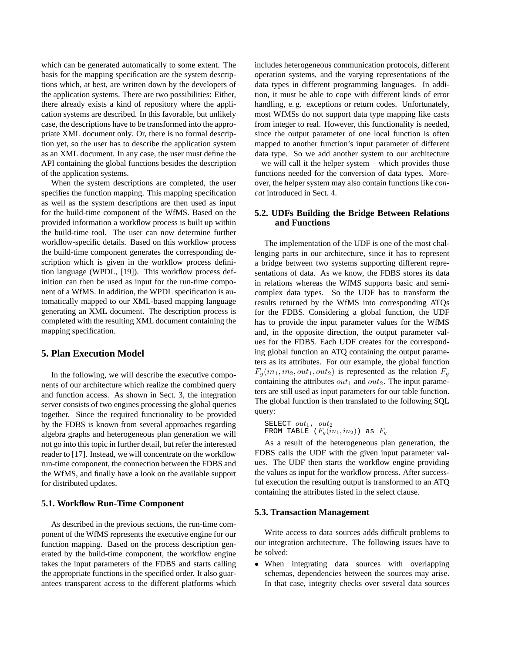which can be generated automatically to some extent. The basis for the mapping specification are the system descriptions which, at best, are written down by the developers of the application systems. There are two possibilities: Either, there already exists a kind of repository where the application systems are described. In this favorable, but unlikely case, the descriptions have to be transformed into the appropriate XML document only. Or, there is no formal description yet, so the user has to describe the application system as an XML document. In any case, the user must define the API containing the global functions besides the description of the application systems.

When the system descriptions are completed, the user specifies the function mapping. This mapping specification as well as the system descriptions are then used as input for the build-time component of the WfMS. Based on the provided information a workflow process is built up within the build-time tool. The user can now determine further workflow-specific details. Based on this workflow process the build-time component generates the corresponding description which is given in the workflow process definition language (WPDL, [19]). This workflow process definition can then be used as input for the run-time component of a WfMS. In addition, the WPDL specification is automatically mapped to our XML-based mapping language generating an XML document. The description process is completed with the resulting XML document containing the mapping specification.

## **5. Plan Execution Model**

In the following, we will describe the executive components of our architecture which realize the combined query and function access. As shown in Sect. 3, the integration server consists of two engines processing the global queries together. Since the required functionality to be provided by the FDBS is known from several approaches regarding algebra graphs and heterogeneous plan generation we will not go into this topic in further detail, but refer the interested reader to [17]. Instead, we will concentrate on the workflow run-time component, the connection between the FDBS and the WfMS, and finally have a look on the available support for distributed updates.

#### **5.1. Workflow Run-Time Component**

As described in the previous sections, the run-time component of the WfMS represents the executive engine for our function mapping. Based on the process description generated by the build-time component, the workflow engine takes the input parameters of the FDBS and starts calling the appropriate functions in the specified order. It also guarantees transparent access to the different platforms which includes heterogeneous communication protocols, different operation systems, and the varying representations of the data types in different programming languages. In addition, it must be able to cope with different kinds of error handling, e. g. exceptions or return codes. Unfortunately, most WfMSs do not support data type mapping like casts from integer to real. However, this functionality is needed, since the output parameter of one local function is often mapped to another function's input parameter of different data type. So we add another system to our architecture – we will call it the helper system – which provides those functions needed for the conversion of data types. Moreover, the helper system may also contain functions like *concat* introduced in Sect. 4.

#### **5.2. UDFs Building the Bridge Between Relations and Functions**

The implementation of the UDF is one of the most challenging parts in our architecture, since it has to represent a bridge between two systems supporting different representations of data. As we know, the FDBS stores its data in relations whereas the WfMS supports basic and semicomplex data types. So the UDF has to transform the results returned by the WfMS into corresponding ATQs for the FDBS. Considering a global function, the UDF has to provide the input parameter values for the WfMS and, in the opposite direction, the output parameter values for the FDBS. Each UDF creates for the corresponding global function an ATQ containing the output parameters as its attributes. For our example, the global function  $F_q(in_1, in_2, out_1, out_2)$  is represented as the relation  $F_q$ containing the attributes  $out_1$  and  $out_2$ . The input parameters are still used as input parameters for our table function. The global function is then translated to the following SQL query:

```
SELECT \mathit{out}_1\, ,\, \mathit{out}_2FROM TABLE (F_g(in_1, in_2)) as F_g
```
As a result of the heterogeneous plan generation, the FDBS calls the UDF with the given input parameter values. The UDF then starts the workflow engine providing the values as input for the workflow process. After successful execution the resulting output is transformed to an ATQ containing the attributes listed in the select clause.

#### **5.3. Transaction Management**

Write access to data sources adds difficult problems to our integration architecture. The following issues have to be solved:

• When integrating data sources with overlapping schemas, dependencies between the sources may arise. In that case, integrity checks over several data sources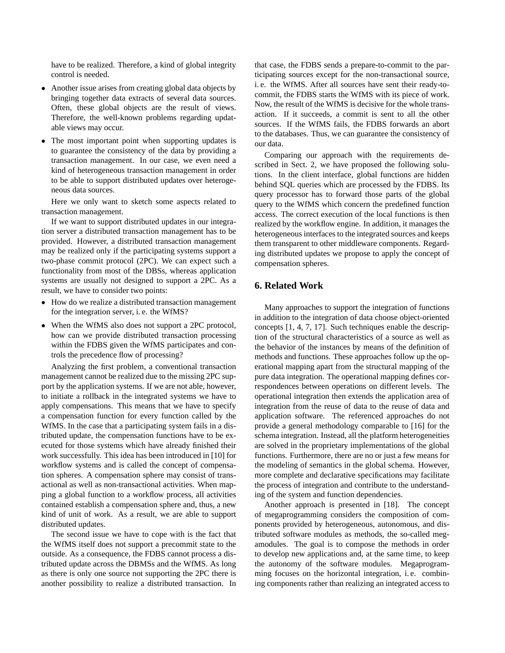have to be realized. Therefore, a kind of global integrity control is needed.

- Another issue arises from creating global data objects by bringing together data extracts of several data sources. Often, these global objects are the result of views. Therefore, the well-known problems regarding updatable views may occur.
- The most important point when supporting updates is to guarantee the consistency of the data by providing a transaction management. In our case, we even need a kind of heterogeneous transaction management in order to be able to support distributed updates over heterogeneous data sources.

Here we only want to sketch some aspects related to transaction management.

If we want to support distributed updates in our integration server a distributed transaction management has to be provided. However, a distributed transaction management may be realized only if the participating systems support a two-phase commit protocol (2PC). We can expect such a functionality from most of the DBSs, whereas application systems are usually not designed to support a 2PC. As a result, we have to consider two points:

- How do we realize a distributed transaction management for the integration server, i. e. the WfMS?
- When the WfMS also does not support a 2PC protocol, how can we provide distributed transaction processing within the FDBS given the WfMS participates and controls the precedence flow of processing?

Analyzing the first problem, a conventional transaction management cannot be realized due to the missing 2PC support by the application systems. If we are not able, however, to initiate a rollback in the integrated systems we have to apply compensations. This means that we have to specify a compensation function for every function called by the WfMS. In the case that a participating system fails in a distributed update, the compensation functions have to be executed for those systems which have already finished their work successfully. This idea has been introduced in [10] for workflow systems and is called the concept of compensation spheres. A compensation sphere may consist of transactional as well as non-transactional activities. When mapping a global function to a workflow process, all activities contained establish a compensation sphere and, thus, a new kind of unit of work. As a result, we are able to support distributed updates.

The second issue we have to cope with is the fact that the WfMS itself does not support a precommit state to the outside. As a consequence, the FDBS cannot process a distributed update across the DBMSs and the WfMS. As long as there is only one source not supporting the 2PC there is another possibility to realize a distributed transaction. In

that case, the FDBS sends a prepare-to-commit to the participating sources except for the non-transactional source, i. e. the WfMS. After all sources have sent their ready-tocommit, the FDBS starts the WfMS with its piece of work. Now, the result of the WfMS is decisive for the whole transaction. If it succeeds, a commit is sent to all the other sources. If the WfMS fails, the FDBS forwards an abort to the databases. Thus, we can guarantee the consistency of our data.

Comparing our approach with the requirements described in Sect. 2, we have proposed the following solutions. In the client interface, global functions are hidden behind SQL queries which are processed by the FDBS. Its query processor has to forward those parts of the global query to the WfMS which concern the predefined function access. The correct execution of the local functions is then realized by the workflow engine. In addition, it manages the heterogeneous interfaces to the integrated sources and keeps them transparent to other middleware components. Regarding distributed updates we propose to apply the concept of compensation spheres.

### **6. Related Work**

Many approaches to support the integration of functions in addition to the integration of data choose object-oriented concepts [1, 4, 7, 17]. Such techniques enable the description of the structural characteristics of a source as well as the behavior of the instances by means of the definition of methods and functions. These approaches follow up the operational mapping apart from the structural mapping of the pure data integration. The operational mapping defines correspondences between operations on different levels. The operational integration then extends the application area of integration from the reuse of data to the reuse of data and application software. The referenced approaches do not provide a general methodology comparable to [16] for the schema integration. Instead, all the platform heterogeneities are solved in the proprietary implementations of the global functions. Furthermore, there are no or just a few means for the modeling of semantics in the global schema. However, more complete and declarative specifications may facilitate the process of integration and contribute to the understanding of the system and function dependencies.

Another approach is presented in [18]. The concept of megaprogramming considers the composition of components provided by heterogeneous, autonomous, and distributed software modules as methods, the so-called megamodules. The goal is to compose the methods in order to develop new applications and, at the same time, to keep the autonomy of the software modules. Megaprogramming focuses on the horizontal integration, i. e. combining components rather than realizing an integrated access to